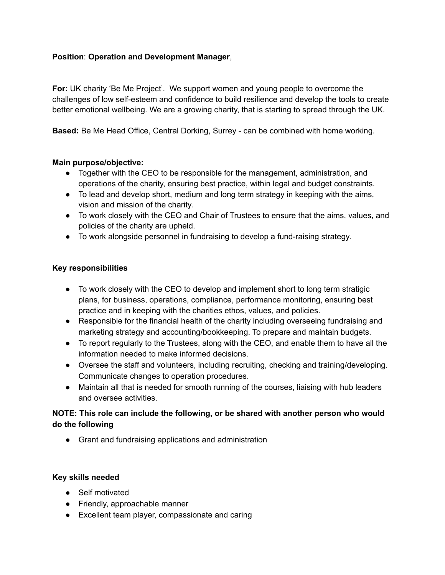## **Position**: **Operation and Development Manager**,

**For:** UK charity 'Be Me Project'. We support women and young people to overcome the challenges of low self-esteem and confidence to build resilience and develop the tools to create better emotional wellbeing. We are a growing charity, that is starting to spread through the UK.

**Based:** Be Me Head Office, Central Dorking, Surrey - can be combined with home working.

## **Main purpose/objective:**

- Together with the CEO to be responsible for the management, administration, and operations of the charity, ensuring best practice, within legal and budget constraints.
- To lead and develop short, medium and long term strategy in keeping with the aims, vision and mission of the charity.
- To work closely with the CEO and Chair of Trustees to ensure that the aims, values, and policies of the charity are upheld.
- To work alongside personnel in fundraising to develop a fund-raising strategy.

## **Key responsibilities**

- To work closely with the CEO to develop and implement short to long term stratigic plans, for business, operations, compliance, performance monitoring, ensuring best practice and in keeping with the charities ethos, values, and policies.
- Responsible for the financial health of the charity including overseeing fundraising and marketing strategy and accounting/bookkeeping. To prepare and maintain budgets.
- To report regularly to the Trustees, along with the CEO, and enable them to have all the information needed to make informed decisions.
- Oversee the staff and volunteers, including recruiting, checking and training/developing. Communicate changes to operation procedures.
- Maintain all that is needed for smooth running of the courses, liaising with hub leaders and oversee activities.

# **NOTE: This role can include the following, or be shared with another person who would do the following**

● Grant and fundraising applications and administration

## **Key skills needed**

- Self motivated
- Friendly, approachable manner
- Excellent team player, compassionate and caring